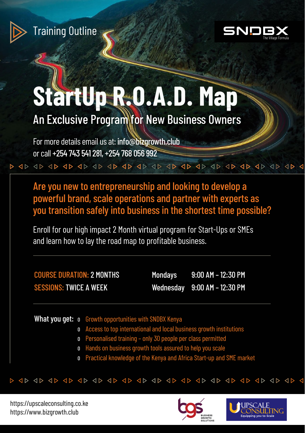

Training Outline



# **StartUp R.O.A.D. Map**

An Exclusive Program for New Business Owners

For more details email us at: info@bizgrowth.club or call +254 743 541 281, +254 768 056 992

Are you new to entrepreneurship and looking to develop a powerful brand, scale operations and partner with experts as you transition safely into business in the shortest time possible?

Enroll for our high impact 2 Month virtual program for Start-Ups or SMEs and learn how to lay the road map to profitable business.

COURSE DURATION: 2 MONTHS SESSIONS: TWICE A WEEK

Mondays 9:00 AM – 12:30 PM Wednesday 9:00 AM – 12:30 PM

What you get: o Growth opportunities with SNDBX Kenya

- O Access to top international and local business growth institutions
- O Personalised training only 30 people per class permitted
- O Hands on business growth tools assured to help you scale
- O Practical knowledge of the Kenya and Africa Start-up and SME market



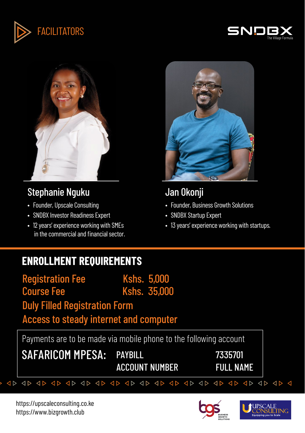





# Stephanie Nguku

- Founder, Upscale Consulting
- SNDBX Investor Readiness Expert
- 12 years' experience working with SMEs in the commercial and financial sector.



# Jan Okonji

- Founder, Business Growth Solutions
- SNDBX Startup Expert
- 13 years' experience working with startups.

# **ENROLLMENT REQUIREMENTS**

Registration Fee Kshs. 5,000 Course Fee Kshs. 35,000 Duly Filled Registration Form Access to steady internet and computer

Payments are to be made via mobile phone to the following account

SAFARICOM MPESA: PAYBILL 7335701

ACCOUNT NUMBER FULL NAME

 $\triangle$ 



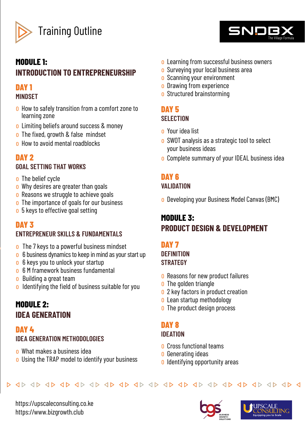

Training Outline

### **MODULE 1: INTRODUCTION TO ENTREPRENEURSHIP**

#### **DAY 1 MINDSET**

- o How to safely transition from a comfort zone to learning zone
- o Limiting beliefs around success & money
- o The fixed, growth & false mindset
- o How to avoid mental roadblocks

### **DAY 2**

### **GOAL SETTING THAT WORKS**

- o The belief cycle
- o Why desires are greater than goals
- o Reasons we struggle to achieve goals
- o The importance of goals for our business
- o 5 keys to effective goal setting

### **DAY 3**

### **ENTREPRENEUR SKILLS & FUNDAMENTALS**

- o The 7 keys to a powerful business mindset
- o 6 business dynamics to keep in mind as your start up
- o 6 keys you to unlock your startup
- o 6 M framework business fundamental
- o Building a great team
- o Identifying the field of business suitable for you

# **MODULE 2: IDEA GENERATION**

### **DAY 4 IDEA GENERATION METHODOLOGIES**

- o What makes a business idea
- o Using the TRAP model to identify your business
- o Learning from successful business owners
- o Surveying your local business area
- o Scanning your environment
- o Drawing from experience
- o Structured brainstorming

### **DAY 5 SELECTION**

- o Your idea list
- o SWOT analysis as a strategic tool to select your business ideas
- o Complete summary of your IDEAL business idea

# **DAY 6**

### **VALIDATION**

o Developing your Business Model Canvas (BMC)

# **MODULE 3: PRODUCT DESIGN & DEVELOPMENT**

# **DAY 7**

#### **DEFINITION STRATEGY**

- o Reasons for new product failures
- **o** The golden triangle
- o 2 key factors in product creation
- o Lean startup methodology
- o The product design process

# **DAY 8**

### **IDEATION**

- o Cross functional teams
- o Generating ideas
- o Identifying opportunity areas



https://upscaleconsulting.co.ke https://www.bizgrowth.club